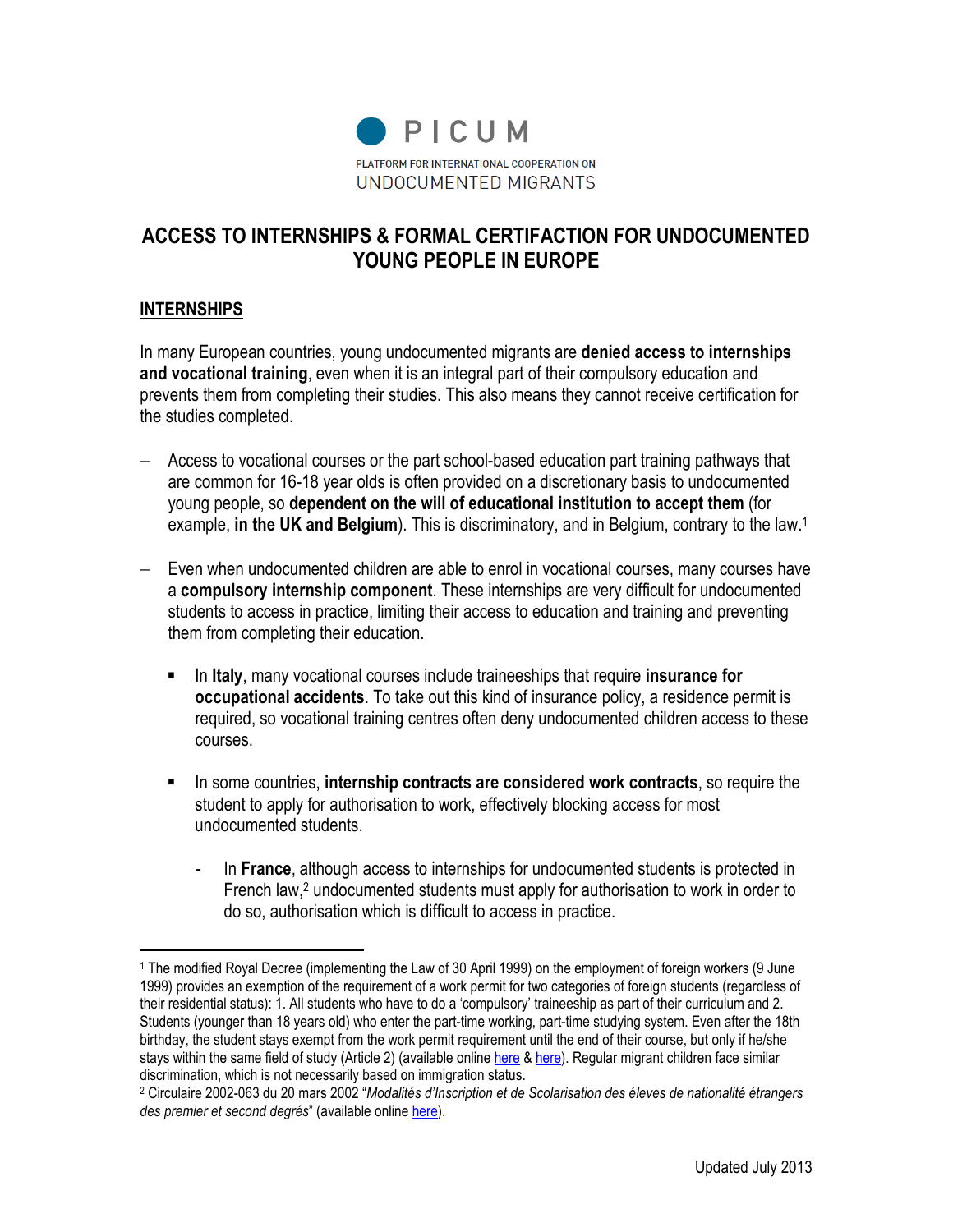

## ACCESS TO INTERNSHIPS & FORMAL CERTIFACTION FOR UNDOCUMENTED YOUNG PEOPLE IN EUROPE

## INTERNSHIPS

 $\overline{a}$ 

In many European countries, young undocumented migrants are denied access to internships and vocational training, even when it is an integral part of their compulsory education and prevents them from completing their studies. This also means they cannot receive certification for the studies completed.

- − Access to vocational courses or the part school-based education part training pathways that are common for 16-18 year olds is often provided on a discretionary basis to undocumented young people, so dependent on the will of educational institution to accept them (for example, in the UK and Belgium). This is discriminatory, and in Belgium, contrary to the law.<sup>1</sup>
- − Even when undocumented children are able to enrol in vocational courses, many courses have a compulsory internship component. These internships are very difficult for undocumented students to access in practice, limiting their access to education and training and preventing them from completing their education.
	- In Italy, many vocational courses include traineeships that require insurance for occupational accidents. To take out this kind of insurance policy, a residence permit is required, so vocational training centres often deny undocumented children access to these courses.
	- In some countries, internship contracts are considered work contracts, so require the student to apply for authorisation to work, effectively blocking access for most undocumented students.
		- In France, although access to internships for undocumented students is protected in French law,<sup>2</sup> undocumented students must apply for authorisation to work in order to do so, authorisation which is difficult to access in practice.

<sup>1</sup> The modified Royal Decree (implementing the Law of 30 April 1999) on the employment of foreign workers (9 June 1999) provides an exemption of the requirement of a work permit for two categories of foreign students (regardless of their residential status): 1. All students who have to do a 'compulsory' traineeship as part of their curriculum and 2. Students (younger than 18 years old) who enter the part-time working, part-time studying system. Even after the 18th birthday, the student stays exempt from the work permit requirement until the end of their course, but only if he/she stays within the same field of study (Article 2) (available online here & here). Regular migrant children face similar discrimination, which is not necessarily based on immigration status.

<sup>2</sup> Circulaire 2002-063 du 20 mars 2002 "Modalités d'Inscription et de Scolarisation des éleves de nationalité étrangers des premier et second degrés" (available online here).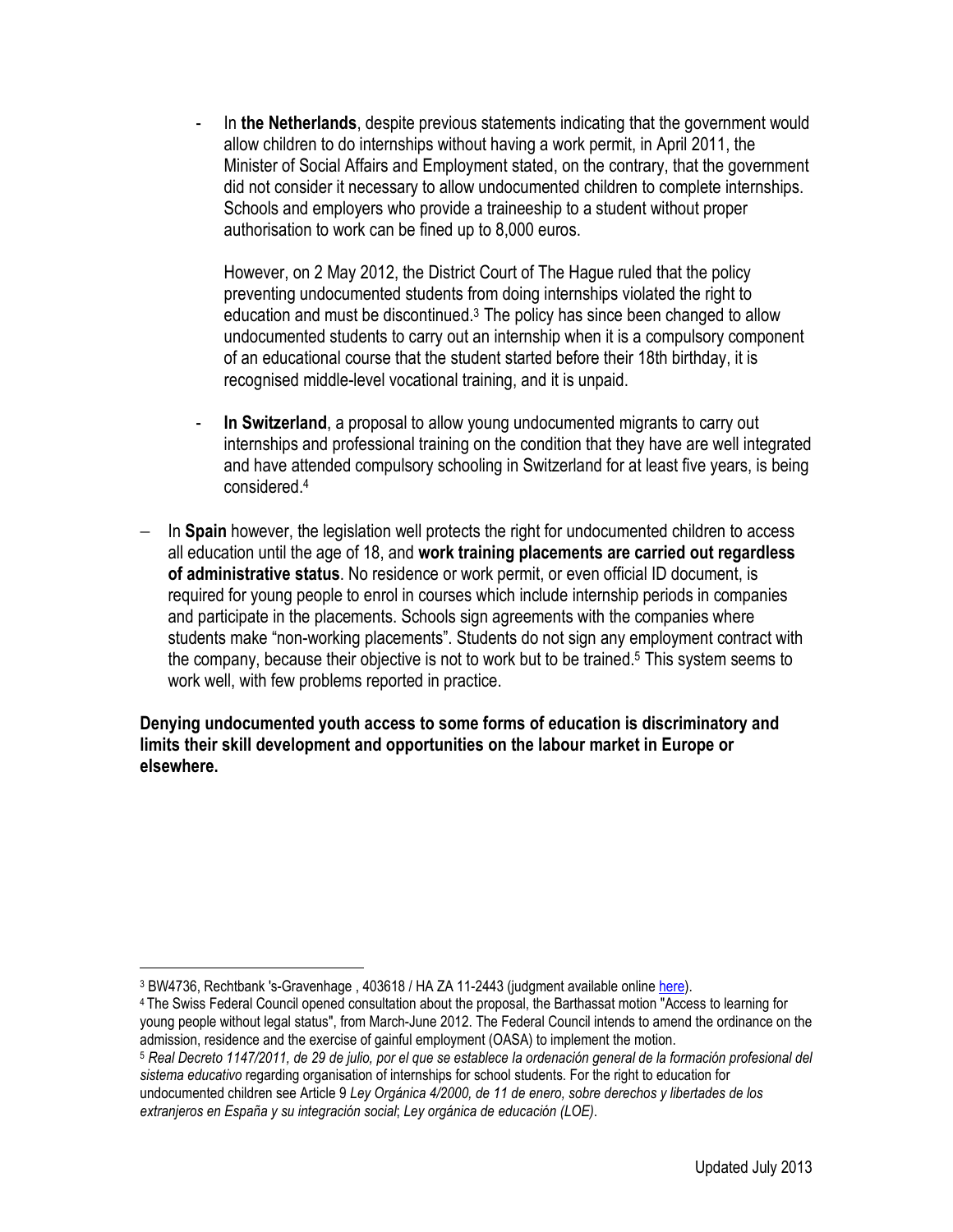- In the Netherlands, despite previous statements indicating that the government would allow children to do internships without having a work permit, in April 2011, the Minister of Social Affairs and Employment stated, on the contrary, that the government did not consider it necessary to allow undocumented children to complete internships. Schools and employers who provide a traineeship to a student without proper authorisation to work can be fined up to 8,000 euros.

However, on 2 May 2012, the District Court of The Hague ruled that the policy preventing undocumented students from doing internships violated the right to education and must be discontinued.<sup>3</sup> The policy has since been changed to allow undocumented students to carry out an internship when it is a compulsory component of an educational course that the student started before their 18th birthday, it is recognised middle-level vocational training, and it is unpaid.

- In Switzerland, a proposal to allow young undocumented migrants to carry out internships and professional training on the condition that they have are well integrated and have attended compulsory schooling in Switzerland for at least five years, is being considered.<sup>4</sup>
- − In Spain however, the legislation well protects the right for undocumented children to access all education until the age of 18, and work training placements are carried out regardless of administrative status. No residence or work permit, or even official ID document, is required for young people to enrol in courses which include internship periods in companies and participate in the placements. Schools sign agreements with the companies where students make "non-working placements". Students do not sign any employment contract with the company, because their objective is not to work but to be trained.<sup>5</sup> This system seems to work well, with few problems reported in practice.

## Denying undocumented youth access to some forms of education is discriminatory and limits their skill development and opportunities on the labour market in Europe or elsewhere.

 $\overline{a}$ 

<sup>&</sup>lt;sup>3</sup> BW4736, Rechtbank 's-Gravenhage , 403618 / HA ZA 11-2443 (judgment available online <u>here</u>).

<sup>4</sup> The Swiss Federal Council opened consultation about the proposal, the Barthassat motion "Access to learning for young people without legal status", from March-June 2012. The Federal Council intends to amend the ordinance on the admission, residence and the exercise of gainful employment (OASA) to implement the motion.

<sup>5</sup> Real Decreto 1147/2011, de 29 de julio, por el que se establece la ordenación general de la formación profesional del sistema educativo regarding organisation of internships for school students. For the right to education for

undocumented children see Article 9 Ley Orgánica 4/2000, de 11 de enero, sobre derechos y libertades de los extranjeros en España y su integración social; Ley orgánica de educación (LOE).